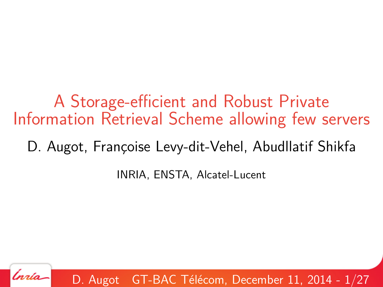A Storage-efficient and Robust Private Information Retrieval Scheme allowing few servers

D. Augot, Françoise Levy-dit-Vehel, Abudllatif Shikfa

INRIA, ENSTA, Alcatel-Lucent



D. Augot GT-BAC Télécom, December 11, 2014 -  $1/27$  $1/27$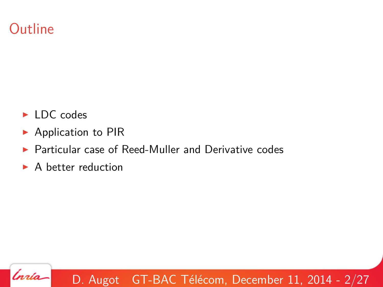## **Outline**

- $\blacktriangleright$  LDC codes
- $\blacktriangleright$  Application to PIR
- $\blacktriangleright$  Particular case of Reed-Muller and Derivative codes
- $\triangleright$  A better reduction

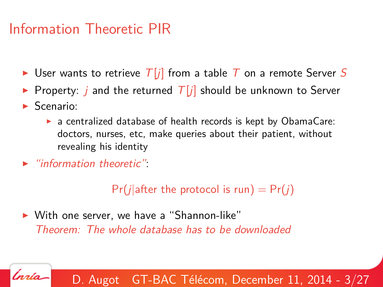## Information Theoretic PIR

- $\triangleright$  User wants to retrieve  $T[j]$  from a table T on a remote Server S
- **Property:** j and the returned  $T[j]$  should be unknown to Server
- $\blacktriangleright$  Scenario:

.<br>nrío

- $\triangleright$  a centralized database of health records is kept by ObamaCare: doctors, nurses, etc, make queries about their patient, without revealing his identity
- $\blacktriangleright$  "information theoretic".

 $Pr(j|after the protocol is run) = Pr(j)$ 

 $\triangleright$  With one server, we have a "Shannon-like" Theorem: The whole database has to be downloaded

D. Augot GT-BAC Télécom, December 11, 2014 -  $3/27$  $3/27$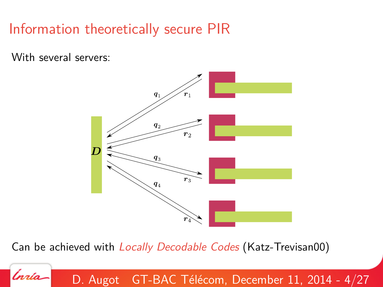# Information theoretically secure PIR

With several servers:

rría



Can be achieved with Locally Decodable Codes (Katz-Trevisan00)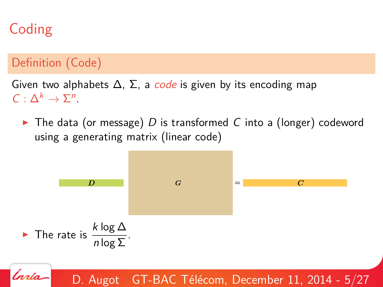# Coding

#### Definition (Code)

Given two alphabets  $\Delta$ ,  $\Sigma$ , a *code* is given by its encoding map  $C: \Delta^k \to \Sigma^n$ .

 $\triangleright$  The data (or message) D is transformed C into a (longer) codeword using a generating matrix (linear code)

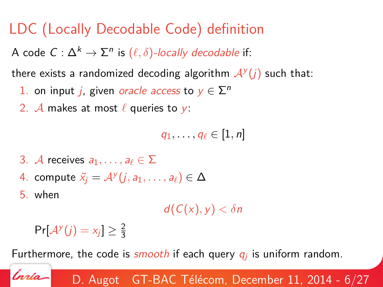## LDC (Locally Decodable Code) definition

A code  $C: \Delta^k \rightarrow \Sigma^n$  is  $(\ell, \delta)$ -locally decodable if:

there exists a randomized decoding algorithm  $\mathcal{A}^{\mathcal{Y}}(j)$  such that:

- 1. on input *j*, given *oracle access* to  $y \in \sum^n$
- 2. A makes at most  $\ell$  queries to y:

$$
q_1,\ldots,q_\ell\in[1,n]
$$

- 3. A receives  $a_1, \ldots, a_\ell \in \Sigma$
- 4. compute  $\tilde{\mathsf{x}}_j = \mathcal{A}^{\mathsf{y}}(j, a_1, \dots, a_\ell) \in \Delta$

5. when

'nrío

 $d(C(x), y) < \delta n$ 

$$
\Pr[\mathcal{A}^{\mathcal{Y}}(j) = x_j] \geq \frac{2}{3}
$$

Furthermore, the code is  $smooth$  if each query  $q_j$  is uniform random.

D. Augot GT-BAC Télécom, December 11, 2014 -  $6/27$  $6/27$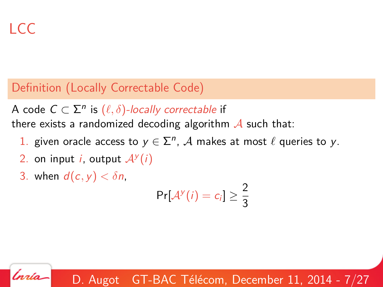'nrío

#### Definition (Locally Correctable Code)

A code  $C \subset \Sigma^n$  is  $(\ell, \delta)$ -locally correctable if there exists a randomized decoding algorithm  $\mathcal A$  such that:

- 1. given oracle access to  $y \in \sum^n$ , A makes at most  $\ell$  queries to y.
- 2. on input *i*, output  $A^y(i)$
- 3. when  $d(c, v) < \delta n$ .

 $Pr[\mathcal{A}^y(i) = c_i] \geq \frac{2}{3}$ 3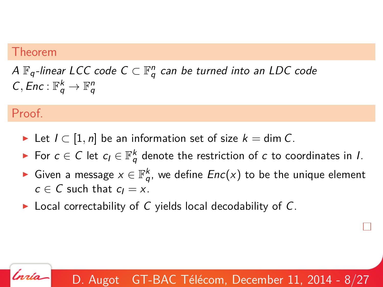#### Theorem

A  $\mathbb{F}_q$ -linear LCC code  $C\subset \mathbb{F}_q^n$  can be turned into an LDC code  $C, Enc : \mathbb{F}_q^k \to \mathbb{F}_q^n$ 

#### Proof.

'nrío

- ► Let  $I \subset [1, n]$  be an information set of size  $k = \dim C$ .
- ► For  $c \in C$  let  $c_l \in \mathbb{F}_q^k$  denote the restriction of  $c$  to coordinates in I.
- ► Given a message  $x\in \mathbb{F}_q^k$ , we define  $Enc(x)$  to be the unique element  $c \in C$  such that  $c_1 = x$ .
- $\triangleright$  Local correctability of C yields local decodability of C.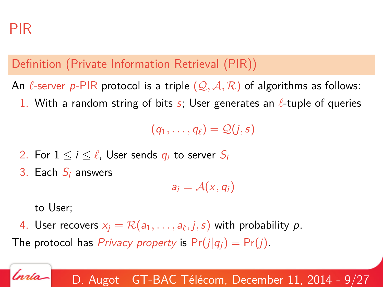## PIR

#### Definition (Private Information Retrieval (PIR))

An  $\ell$ -server p-PIR protocol is a triple  $(Q, A, R)$  of algorithms as follows:

1. With a random string of bits s; User generates an  $\ell$ -tuple of queries

 $(q_1, \ldots, q_\ell) = \mathcal{Q}(i,s)$ 

- 2. For  $1 \le i \le \ell$ , User sends  $q_i$  to server  $S_i$
- 3. Each  $S_i$  answers

 $a_i = A(x, q_i)$ 

to User;

'nrío

4. User recovers  $\mathsf{x}_{j} = \mathcal{R}( \mathsf{a}_{1}, \ldots, \mathsf{a}_{\ell}, j, \mathsf{s})$  with probability  $\bm{\mathsf{p}}.$ 

The protocol has *Privacy property* is  $Pr(j|q_i) = Pr(j)$ .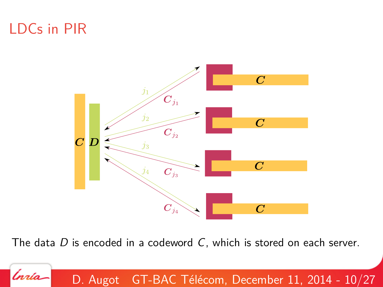## LDCs in PIR

.<br>nrío



The data D is encoded in a codeword C, which is stored on each server.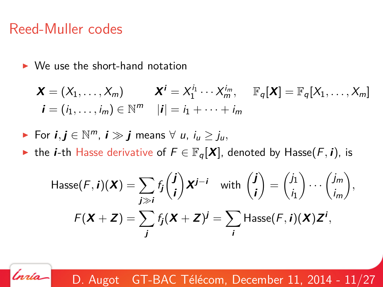### Reed-Muller codes

'nrío

 $\triangleright$  We use the short-hand notation

$$
\mathbf{X} = (X_1, \dots, X_m) \qquad \mathbf{X}^i = X_1^{i_1} \cdots X_m^{i_m}, \quad \mathbb{F}_q[\mathbf{X}] = \mathbb{F}_q[X_1, \dots, X_m]
$$

$$
\mathbf{i} = (i_1, \dots, i_m) \in \mathbb{N}^m \quad |\mathbf{i}| = i_1 + \dots + i_m
$$

For 
$$
i, j \in \mathbb{N}^m
$$
,  $i \gg j$  means  $\forall u, i_u \geq j_u$ ,

**►** the *i*-th Hasse derivative of  $F \in \mathbb{F}_q[X]$ , denoted by Hasse $(F, i)$ , is

$$
\begin{aligned} \mathsf{Hasse}(F, \boldsymbol{i})(\boldsymbol{X}) &= \sum_{j \gg \boldsymbol{i}} f_j \binom{\boldsymbol{j}}{\boldsymbol{i}} \boldsymbol{X}^{\boldsymbol{j} - \boldsymbol{i}} \quad \text{with } \binom{\boldsymbol{j}}{\boldsymbol{i}} = \binom{j_1}{i_1} \cdots \binom{j_m}{i_m}, \\ F(\boldsymbol{X} + \boldsymbol{Z}) &= \sum_{j} f_j(\boldsymbol{X} + \boldsymbol{Z})^{\boldsymbol{j}} = \sum_{j} \mathsf{Hasse}(F, \boldsymbol{i})(\boldsymbol{X}) \boldsymbol{Z}^{\boldsymbol{i}}, \end{aligned}
$$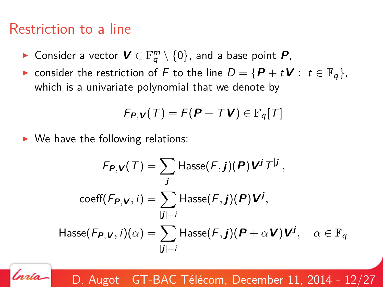### Restriction to a line

'nrío

- ► Consider a vector  $\bm{V} \in \mathbb{F}_q^m \setminus \{0\}$ , and a base point  $\bm{P}$ ,
- **►** consider the restriction of F to the line  $D = {P + tV : t \in \mathbb{F}_q}$ , which is a univariate polynomial that we denote by

$$
F_{\boldsymbol{P},\boldsymbol{V}}(T)=F(\boldsymbol{P}+T\boldsymbol{V})\in\mathbb{F}_q[T]
$$

 $\triangleright$  We have the following relations:

$$
F_{P,V}(T) = \sum_{j} \text{Hasse}(F,j)(P) V^{j} T^{[j]},
$$

$$
\text{coeff}(F_{P,V}, i) = \sum_{|j|=i} \text{Hasse}(F,j)(P) V^{j},
$$

$$
\text{Hasse}(F_{P,V}, i)(\alpha) = \sum_{|j|=i} \text{Hasse}(F,j)(P + \alpha V) V^{j}, \quad \alpha \in \mathbb{F}_q
$$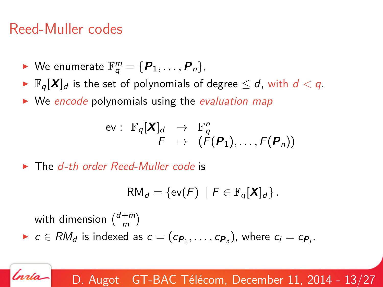## Reed-Muller codes

rrío-

- $\blacktriangleright$  We enumerate  $\mathbb{F}_q^m = \{P_1, \ldots, P_n\},\$
- $\blacktriangleright \mathbb{F}_q[X]_d$  is the set of polynomials of degree  $\leq d$ , with  $d < q$ .
- $\triangleright$  We encode polynomials using the evaluation map

$$
\begin{array}{cccc}\text{ev}: & \mathbb{F}_q[X]_d & \to & \mathbb{F}_q^n\\ & F & \mapsto & (F(\mathbf{P}_1), \ldots, F(\mathbf{P}_n))\end{array}
$$

 $\blacktriangleright$  The d-th order Reed-Muller code is

$$
\mathsf{RM}_d = \{ \mathsf{ev}(F) \mid F \in \mathbb{F}_q[\mathbf{X}]_d \}.
$$

with dimension  $\binom{d+m}{m}$  $\binom{+m}{m}$ ►  $c \in RM_d$  is indexed as  $c = (c_{\boldsymbol{P}_1}, \ldots, c_{\boldsymbol{P}_n})$ , where  $c_i = c_{\boldsymbol{P}_i}$ .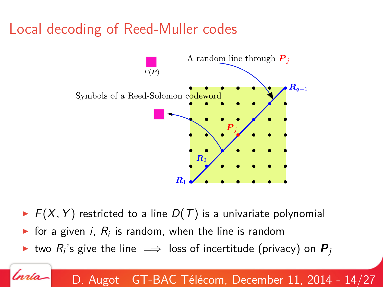## Local decoding of Reed-Muller codes



- $\blacktriangleright$   $F(X, Y)$  restricted to a line  $D(T)$  is a univariate polynomial
- $\blacktriangleright$  for a given i,  $R_i$  is random, when the line is random
- ► two  $R_i$ 's give the line  $\implies$  loss of incertitude (privacy) on  $\bm{P}_j$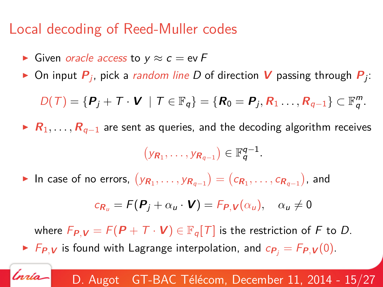## Local decoding of Reed-Muller codes

 $\triangleright$  Given *oracle access* to y  $\approx$  c = ev F

'nrío

 $\blacktriangleright$  On input  $\bm{P}_j$ , pick a *random line D* of direction  $\bm{V}$  passing through  $\bm{P}_j$ :

$$
D(\mathcal{T}) = \{ \boldsymbol{P}_j + \mathcal{T} \cdot \boldsymbol{V} \mid \mathcal{T} \in \mathbb{F}_q \} = \{ \boldsymbol{R}_0 = \boldsymbol{P}_j, \boldsymbol{R}_1 \dots, \boldsymbol{R}_{q-1} \} \subset \mathbb{F}_q^m.
$$

**► R**<sub>1</sub>, ..., **R**<sub>q−1</sub> are sent as queries, and the decoding algorithm receives

$$
(y_{R_1},\ldots,y_{R_{q-1}})\in \mathbb{F}_q^{q-1}.
$$

► In case of no errors,  $\left(y_{\bm{R}_1}, \ldots, y_{\bm{R}_{q-1}}\right) = \left(c_{\bm{R}_1}, \ldots, c_{\bm{R}_{q-1}}\right)$ , and

$$
c_{R_u} = F(\boldsymbol{P}_j + \alpha_u \cdot \boldsymbol{V}) = F_{\boldsymbol{P},\boldsymbol{V}}(\alpha_u), \quad \alpha_u \neq 0
$$

where  $F_{P,V} = F(P + T \cdot V) \in \mathbb{F}_q[T]$  is the restriction of F to D.  $\blacktriangleright$  F<sub>P</sub>, v is found with Lagrange interpolation, and  $c_{P_j} = F_{P,Y}(0)$ .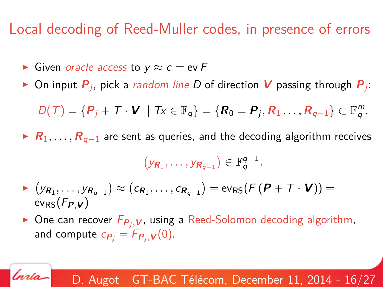## Local decoding of Reed-Muller codes, in presence of errors

 $\triangleright$  Given *oracle access* to y  $\approx$  c = ev F

'nrío

 $\blacktriangleright$  On input  $\bm{P}_j$ , pick a *random line D* of direction  $\bm{V}$  passing through  $\bm{P}_j$ :

$$
D(T) = \{P_j + T \cdot \mathbf{V} \mid Tx \in \mathbb{F}_q\} = \{R_0 = P_j, R_1 \dots, R_{q-1}\} \subset \mathbb{F}_q^m.
$$

 $\triangleright$  **R**<sub>1</sub>, . . . , **R**<sub>q−1</sub> are sent as queries, and the decoding algorithm receives

$$
(y_{R_1},\ldots,y_{R_{q-1}})\in \mathbb{F}_q^{q-1}.
$$

- $\blacktriangleright$   $\big(y_{\mathcal{R}_1}, \ldots, y_{\mathcal{R}_{q-1}}\big) \approx \big(c_{\mathcal{R}_1}, \ldots, c_{\mathcal{R}_{q-1}}\big) = \text{ev}_{\mathsf{RS}}(\mathcal{F}\,(\mathcal{P} + \mathcal{T} \cdot \mathcal{V})) = 0$  $ev_{RS}(F_{P,V})$
- $\triangleright$  One can recover  $F_{P_j, V}$ , using a Reed-Solomon decoding algorithm, and compute  $c_{\boldsymbol{P}_j} = F_{\boldsymbol{P}_j, \boldsymbol{V}}(0)$ .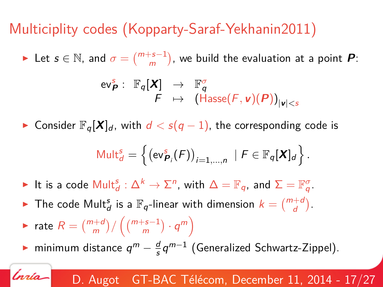# Multiciplity codes (Kopparty-Saraf-Yekhanin2011)

► Let  $s \in \mathbb{N}$ , and  $\sigma = \binom{m+s-1}{m}$ , we build the evaluation at a point  $\boldsymbol{P}$ :

$$
\begin{array}{cccc}\n\mathsf{ev}_{\mathbf{P}}^{\mathsf{s}}: & \mathbb{F}_q[\mathbf{X}] & \to & \mathbb{F}_q^{\sigma} \\
& F & \mapsto & (\mathsf{Hasse}(F, \mathbf{v})(\mathbf{P}))_{|\mathbf{v}| < s}\n\end{array}
$$

► Consider  $\mathbb{F}_q[X]_d$ , with  $d < s(q-1)$ , the corresponding code is

$$
\mathsf{Mult}_{d}^{s} = \left\{ \left( \mathsf{ev}_{\boldsymbol{P}_i}^{s}(\boldsymbol{F}) \right)_{i=1,\dots,n} \mid \boldsymbol{F} \in \mathbb{F}_q[\boldsymbol{X}]_d \right\}.
$$

- ► It is a code  $\mathsf{Mult}^{\mathcal{S}}_d : \Delta^k \to \Sigma^n$ , with  $\Delta = \mathbb{F}_q$ , and  $\Sigma = \mathbb{F}_q^{\sigma}$ .
- If The code Mult $_d^s$  is a  $\mathbb{F}_q$ -linear with dimension  $k = \binom{m+d}{d}$ .
- ► rate  $R = \binom{m+d}{m} / \left( \binom{m+s-1}{m} \cdot q^m \right)$

'nrío

► minimum distance  $q^m - \frac{d}{s}$  $\frac{d}{s}q^{m-1}$  (Generalized Schwartz-Zippel).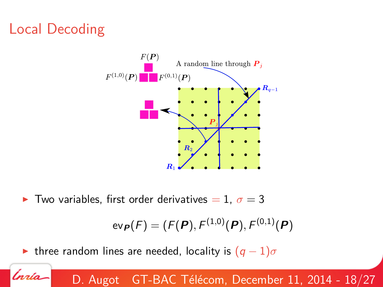## Local Decoding

nrío



 $\blacktriangleright$  Two variables, first order derivatives = 1,  $\sigma = 3$ 

$$
{\sf ev}_{\bm{P}}(F)=(F(\bm{P}),F^{(1,0)}(\bm{P}),F^{(0,1)}(\bm{P})
$$

 $\triangleright$  three random lines are needed, locality is  $(q-1)\sigma$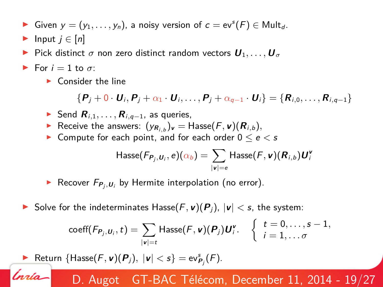- ► Given  $y = (y_1, \ldots, y_n)$ , a noisy version of  $c = ev^s(F) \in Mult_d$ .
- Input  $j \in [n]$
- Pick distinct  $\sigma$  non zero distinct random vectors  $U_1, \ldots, U_{\sigma}$
- For  $i = 1$  to  $\sigma$ :

'nrío

 $\blacktriangleright$  Consider the line

$$
\{P_j+0\cdot U_i,P_j+\alpha_1\cdot U_i,\ldots,P_j+\alpha_{q-1}\cdot U_i\}=\{R_{i,0},\ldots,R_{i,q-1}\}
$$

- **►** Send  $\mathbf{R}_{i,1}, \ldots, \mathbf{R}_{i,q-1}$ , as queries,
- $\blacktriangleright$  Receive the answers:  $(y_{\mathcal{R}_{i,b}})_\mathsf{v} = \mathsf{Hasse}(F, \mathsf{v})(\mathcal{R}_{i,b}),$
- ► Compute for each point, and for each order  $0 \le e \le s$

$$
\mathsf{Hasse}(\mathit{Fp}_j, u_i, e)(\alpha_b) = \sum_{|\textbf{v}|=e} \mathsf{Hasse}(\mathit{F}, \textbf{v})(\textbf{R}_{i,b})\textbf{U}_i^{\textbf{v}}
$$

- $\blacktriangleright$  Recover  $F_{\boldsymbol{P}_j,\boldsymbol{U}_i}$  by Hermite interpolation (no error).
- Solve for the indeterminates Hasse $(F, \nu)(P_i)$ ,  $|\nu| < s$ , the system:

$$
\text{coeff}(F_{P_j,\boldsymbol{U}_j},t)=\sum_{|\boldsymbol{v}|=t}\text{Hasse}(F,\boldsymbol{v})(P_j)\boldsymbol{U}_j^{\boldsymbol{v}}.\quad \left\{\begin{array}{l} t=0,\ldots,s-1,\\ i=1,\ldots\sigma\end{array}\right.
$$

**P** Return  $\{\text{Hasse}(F, \mathbf{v})(P_j), |\mathbf{v}| < s\} = \text{ev}_{P_j}^s(F).$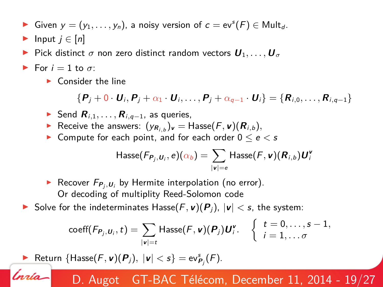- ► Given  $y = (y_1, \ldots, y_n)$ , a noisy version of  $c = ev^s(F) \in Mult_d$ .
- Input  $j \in [n]$
- Pick distinct  $\sigma$  non zero distinct random vectors  $U_1, \ldots, U_{\sigma}$
- For  $i = 1$  to  $\sigma$ :

'nrío

 $\blacktriangleright$  Consider the line

$$
\{P_j+0\cdot U_i,P_j+\alpha_1\cdot U_i,\ldots,P_j+\alpha_{q-1}\cdot U_i\}=\{R_{i,0},\ldots,R_{i,q-1}\}
$$

- **►** Send  $\mathbf{R}_{i,1}, \ldots, \mathbf{R}_{i,q-1}$ , as queries,
- $\blacktriangleright$  Receive the answers:  $(y_{\mathcal{R}_{i,b}})_\mathsf{v} = \mathsf{Hasse}(F, \mathsf{v})(\mathcal{R}_{i,b}),$
- ▶ Compute for each point, and for each order  $0 \le e < s$

$$
\mathsf{Hasse}(\mathit{Fp}_j, u_i, e)(\alpha_b) = \sum_{|\textbf{v}|=e} \mathsf{Hasse}(\mathit{F}, \textbf{v})(\textbf{R}_{i,b})\textbf{U}_i^{\textbf{v}}
$$

- $\blacktriangleright$  Recover  $F_{\boldsymbol{P}_j,\boldsymbol{U}_i}$  by Hermite interpolation (no error). Or decoding of multiplity Reed-Solomon code
- ▶ Solve for the indeterminates Hasse $(F, \nu)(P)$ ,  $|\nu|$  < s, the system:

$$
\text{coeff}(F_{P_j,U_i},t)=\sum_{|\mathbf{v}|=t}\text{Hasse}(F,\mathbf{v})(P_j)\mathbf{U}_i^{\mathbf{v}}.\quad \left\{\begin{array}{l}t=0,\ldots,s-1,\\i=1,\ldots\sigma\end{array}\right.
$$

**P** Return  $\{\text{Hasse}(F, \mathbf{v})(P_j), |\mathbf{v}| < s\} = \text{ev}_{P_j}^s(F).$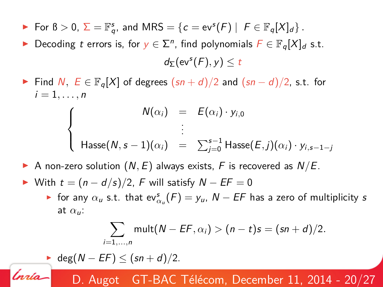- For  $B > 0$ ,  $\Sigma = \mathbb{F}_q^s$ , and  $MRS = \{c = ev^s(F) \mid F \in \mathbb{F}_q[X]_d\}$ .
- ► Decoding t errors is, for  $y \in \sum^n$ , find polynomials  $F \in \mathbb{F}_q[X]_d$  s.t.  $d_{\Sigma}$ (ev<sup>s</sup> $(F), y$ )  $\leq t$
- Find N,  $E \in \mathbb{F}_q[X]$  of degrees  $(sn + d)/2$  and  $(sn d)/2$ , s.t. for  $i=1,\ldots,n$

$$
\begin{cases}\nN(\alpha_i) & = & E(\alpha_i) \cdot y_{i,0} \\
\vdots & \vdots \\
\text{Hasse}(N, s-1)(\alpha_i) & = & \sum_{j=0}^{s-1} \text{Hasse}(E, j)(\alpha_i) \cdot y_{i,s-1-j}\n\end{cases}
$$

- A non-zero solution  $(N, E)$  always exists, F is recovered as  $N/E$ .
- $\triangleright$  With  $t = (n d/s)/2$ , F will satisfy  $N EF = 0$ 
	- ► for any  $\alpha_u$  s.t. that ev ${}_{\alpha_u}^s(F) = y_u$ ,  $N EF$  has a zero of multiplicity s at  $\alpha_{\mu}$ :

$$
\sum_{i=1,\ldots,n} \operatorname{mult}(N - EF, \alpha_i) > (n-t)s = (sn+d)/2.
$$

 $\blacktriangleright$  deg( $N - EF$ )  $\leq$   $(sn + d)/2$ .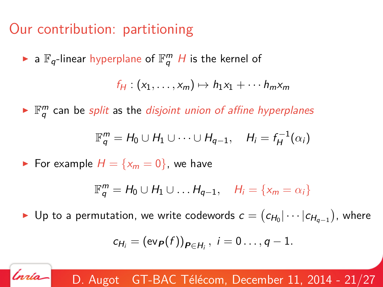## Our contribution: partitioning

 $\blacktriangleright$  a  $\mathbb{F}_q$ -linear hyperplane of  $\mathbb{F}_q^m$  H is the kernel of

$$
f_H:(x_1,\ldots,x_m)\mapsto h_1x_1+\cdots h_mx_m
$$

 $\blacktriangleright$   $\mathbb{F}_q^m$  can be *split* as the *disjoint union of affine hyperplanes* 

$$
\mathbb{F}_q^m = H_0 \cup H_1 \cup \cdots \cup H_{q-1}, \quad H_i = f_H^{-1}(\alpha_i)
$$

For example  $H = \{x_m = 0\}$ , we have

'nrío

$$
\mathbb{F}_q^m = H_0 \cup H_1 \cup \ldots H_{q-1}, \quad H_i = \{x_m = \alpha_i\}
$$

► Up to a permutation, we write codewords  $c = (c_{H_0}|\cdots|c_{H_{q-1}})$ , where

$$
c_{H_i}=(\text{ev}_{\boldsymbol{P}}(f))_{\boldsymbol{P}\in H_i}, i=0\ldots,q-1.
$$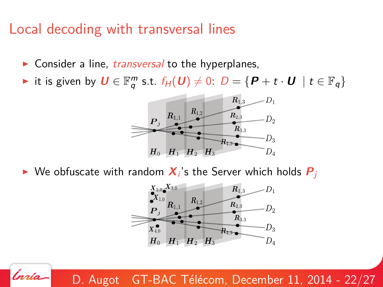## Local decoding with transversal lines

'nrío

- $\triangleright$  Consider a line, *transversal* to the hyperplanes,
- **►** it is given by  $\boldsymbol{U} \in \mathbb{F}_q^m$  s.t.  $f_H(\boldsymbol{U}) \neq 0$ :  $D = \{ \boldsymbol{P} + t \cdot \boldsymbol{U} \mid t \in \mathbb{F}_q \}$



 $\blacktriangleright$  We obfuscate with random  $\bm{X}_i$ 's the Server which holds  $\bm{P}_j$ 

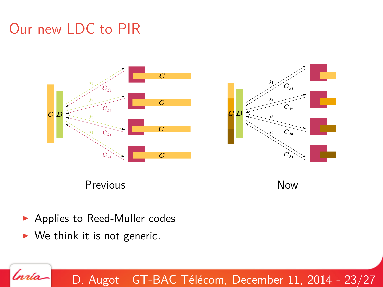## Our new LDC to PIR









- ▶ Applies to Reed-Muller codes
- $\triangleright$  We think it is not generic.

'nrío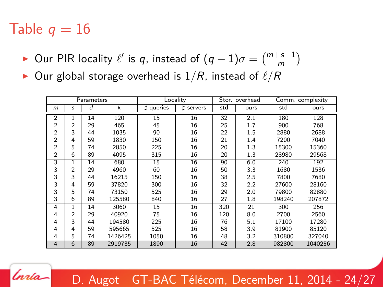## Table  $q = 16$

'nrío

- ► Our PIR locality  $\ell'$  is q, instead of  $(q-1)\sigma = \binom{m+s-1}{m}$
- $\triangleright$  Our global storage overhead is  $1/R$ , instead of  $\ell/R$

| Parameters     |                |    |                | Locality     |              | Stor, overhead  |      | Comm. complexity |         |
|----------------|----------------|----|----------------|--------------|--------------|-----------------|------|------------------|---------|
| $m$            | s              | d  | $\overline{k}$ | Ħ<br>queries | Ħ<br>servers | std             | ours | std              | ours    |
| $\overline{2}$ |                | 14 | 120            | 15           | 16           | $\overline{32}$ | 2.1  | 180              | 128     |
| $\overline{2}$ | $\overline{c}$ | 29 | 465            | 45           | 16           | 25              | 1.7  | 900              | 768     |
| $\overline{c}$ | 3              | 44 | 1035           | 90           | 16           | 22              | 1.5  | 2880             | 2688    |
| $\overline{2}$ | 4              | 59 | 1830           | 150          | 16           | 21              | 1.4  | 7200             | 7040    |
| $\overline{2}$ | 5              | 74 | 2850           | 225          | 16           | 20              | 1.3  | 15300            | 15360   |
| 2              | 6              | 89 | 4095           | 315          | 16           | 20              | 1.3  | 28980            | 29568   |
| 3              | ī              | 14 | 680            | 15           | 16           | 90              | 6.0  | 240              | 192     |
| 3              | 2              | 29 | 4960           | 60           | 16           | 50              | 3.3  | 1680             | 1536    |
| 3              | 3              | 44 | 16215          | 150          | 16           | 38              | 2.5  | 7800             | 7680    |
| 3              | 4              | 59 | 37820          | 300          | 16           | 32              | 2.2  | 27600            | 28160   |
| 3              | 5              | 74 | 73150          | 525          | 16           | 29              | 2.0  | 79800            | 82880   |
| 3              | 6              | 89 | 125580         | 840          | 16           | 27              | 1.8  | 198240           | 207872  |
| 4              | 1              | 14 | 3060           | 15           | 16           | 320             | 21   | 300              | 256     |
| 4              | $\mathfrak{p}$ | 29 | 40920          | 75           | 16           | 120             | 8.0  | 2700             | 2560    |
| 4              | 3              | 44 | 194580         | 225          | 16           | 76              | 5.1  | 17100            | 17280   |
| 4              | 4              | 59 | 595665         | 525          | 16           | 58              | 3.9  | 81900            | 85120   |
| 4              | 5              | 74 | 1426425        | 1050         | 16           | 48              | 3.2  | 310800           | 327040  |
| $\overline{4}$ | 6              | 89 | 2919735        | 1890         | 16           | 42              | 2.8  | 982800           | 1040256 |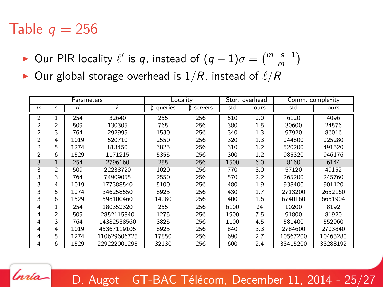## Table  $q = 256$

'nrío

- ► Our PIR locality  $\ell'$  is q, instead of  $(q-1)\sigma = \binom{m+s-1}{m}$
- $\triangleright$  Our global storage overhead is  $1/R$ , instead of  $\ell/R$

| Parameters     |                |      |              | Locality  |              | Stor, overhead |      | Comm. complexity |          |
|----------------|----------------|------|--------------|-----------|--------------|----------------|------|------------------|----------|
| m              | s              | d    | k            | t queries | Ħ<br>servers | std            | ours | std              | ours     |
| $\overline{2}$ |                | 254  | 32640        | 255       | 256          | 510            | 2.0  | 6120             | 4096     |
| $\overline{2}$ | $\overline{c}$ | 509  | 130305       | 765       | 256          | 380            | 1.5  | 30600            | 24576    |
| $\overline{2}$ | 3              | 764  | 292995       | 1530      | 256          | 340            | 1.3  | 97920            | 86016    |
| $\overline{2}$ | 4              | 1019 | 520710       | 2550      | 256          | 320            | 1.3  | 244800           | 225280   |
| $\overline{2}$ | 5              | 1274 | 813450       | 3825      | 256          | 310            | 1.2  | 520200           | 491520   |
| $\overline{2}$ | 6              | 1529 | 1171215      | 5355      | 256          | 300            | 1.2  | 985320           | 946176   |
| 3              | 1              | 254  | 2796160      | 255       | 256          | 1500           | 6.0  | 8160             | 6144     |
| 3              | $\overline{2}$ | 509  | 22238720     | 1020      | 256          | 770            | 3.0  | 57120            | 49152    |
| 3              | 3              | 764  | 74909055     | 2550      | 256          | 570            | 2.2  | 265200           | 245760   |
| 3              | 4              | 1019 | 177388540    | 5100      | 256          | 480            | 1.9  | 938400           | 901120   |
| 3              | 5              | 1274 | 346258550    | 8925      | 256          | 430            | 1.7  | 2713200          | 2652160  |
| 3              | 6              | 1529 | 598100460    | 14280     | 256          | 400            | 1.6  | 6740160          | 6651904  |
| 4              |                | 254  | 180352320    | 255       | 256          | 6100           | 24   | 10200            | 8192     |
| 4              | $\overline{c}$ | 509  | 2852115840   | 1275      | 256          | 1900           | 7.5  | 91800            | 81920    |
| 4              | 3              | 764  | 14382538560  | 3825      | 256          | 1100           | 4.5  | 581400           | 552960   |
| 4              | 4              | 1019 | 45367119105  | 8925      | 256          | 840            | 3.3  | 2784600          | 2723840  |
| 4              | 5              | 1274 | 110629606725 | 17850     | 256          | 690            | 2.7  | 10567200         | 10465280 |
| 4              | 6              | 1529 | 229222001295 | 32130     | 256          | 600            | 2.4  | 33415200         | 33288192 |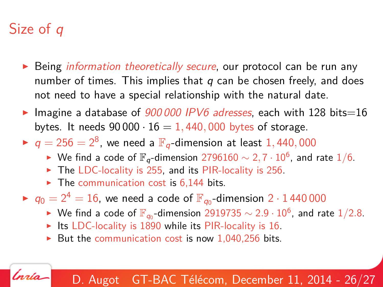# Size of *q*

Ínría-

- $\triangleright$  Being *information theoretically secure*, our protocol can be run any number of times. This implies that  $q$  can be chosen freely, and does not need to have a special relationship with the natural date.
- Imagine a database of 900 000 IPV6 adresses, each with 128 bits=16 bytes. It needs  $90\,000 \cdot 16 = 1,440,000$  bytes of storage.
- $\blacktriangleright$   $q = 256 = 2^8$ , we need a  $\mathbb{F}_q$ -dimension at least  $1,440,000$ 
	- ► We find a code of  $\mathbb{F}_q$ -dimension 2796160  $\sim$  2, 7  $\cdot$  10<sup>6</sup>, and rate 1/6.
	- $\blacktriangleright$  The LDC-locality is 255, and its PIR-locality is 256.
	- $\blacktriangleright$  The communication cost is 6,144 bits.
- $\blacktriangleright$   $q_0 = 2^4 = 16$ , we need a code of  $\mathbb{F}_{q_0}$ -dimension  $2 \cdot 1\,440\,000$ 
	- ► We find a code of  $\mathbb{F}_{q_0}$ -dimension  $2919735 \sim 2.9 \cdot 10^6$ , and rate  $1/2.8$ .
	- Its LDC-locality is 1890 while its PIR-locality is 16.
	- But the communication cost is now 1,040,256 bits.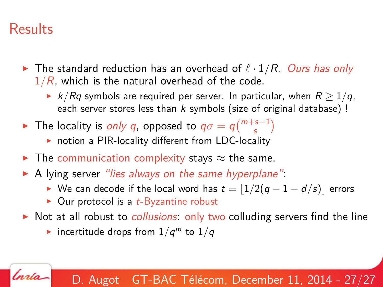## **Results**

'nrío

- <span id="page-27-0"></span> $\blacktriangleright$  The standard reduction has an overhead of  $\ell \cdot 1/R$ . Ours has only  $1/R$ , which is the natural overhead of the code.
	- ►  $k/Rq$  symbols are required per server. In particular, when  $R \geq 1/q$ , each server stores less than  $k$  symbols (size of original database) !
- ► The locality is *only q*, opposed to  $q\sigma = q\binom{m+s-1}{s}$ 
	- $\triangleright$  notion a PIR-locality different from LDC-locality
- $\blacktriangleright$  The communication complexity stays  $\approx$  the same.
- $\triangleright$  A lying server "lies always on the same hyperplane":
	- ► We can decode if the local word has  $t = \lfloor 1/2(q 1 d/s)\rfloor$  errors
	- $\triangleright$  Our protocol is a *t*-Byzantine robust
- $\triangleright$  Not at all robust to *collusions*: only two colluding servers find the line
	- incertitude drops from  $1/q^m$  to  $1/q$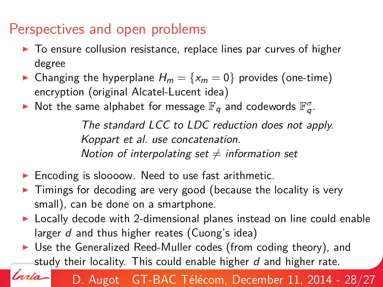## Perspectives and open problems

lnrío-

- $\triangleright$  To ensure collusion resistance, replace lines par curves of higher degree
- Changing the hyperplane  $H_m = \{x_m = 0\}$  provides (one-time) encryption (original Alcatel-Lucent idea)
- $\blacktriangleright$  Not the same alphabet for message  $\mathbb{F}_q$  and codewords  $\mathbb{F}_q^{\sigma}$ .

The standard LCC to LDC reduction does not apply. Koppart et al. use concatenation. Notion of interpolating set  $\neq$  information set

- $\blacktriangleright$  Encoding is sloooow. Need to use fast arithmetic.
- $\triangleright$  Timings for decoding are very good (because the locality is very small), can be done on a smartphone.
- $\triangleright$  Locally decode with 2-dimensional planes instead on line could enable larger d and thus higher reates (Cuong's idea)
- $\triangleright$  Use the Generalized Reed-Muller codes (from coding theory), and study their locality. This could enable higher  $d$  and higher rate.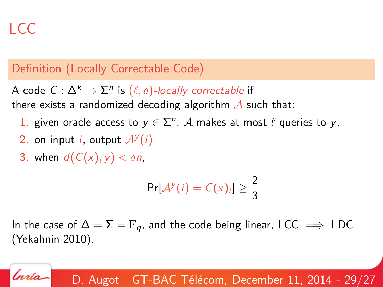# LCC

'nrío

#### Definition (Locally Correctable Code)

A code  $\mathcal{C}:\Delta^k\rightarrow \Sigma^n$  is  $(\ell,\delta)$ -locally correctable if there exists a randomized decoding algorithm  $\mathcal A$  such that:

- 1. given oracle access to  $y \in \sum^n$ , A makes at most  $\ell$  queries to y.
- 2. on input *i*, output  $A^y(i)$
- 3. when  $d(C(x), y) < \delta n$ .

$$
\Pr[\mathcal{A}^{\mathcal{Y}}(i) = C(x)_i] \geq \frac{2}{3}
$$

In the case of  $\Delta = \Sigma = \mathbb{F}_q$ , and the code being linear, LCC  $\implies$  LDC (Yekahnin 2010).